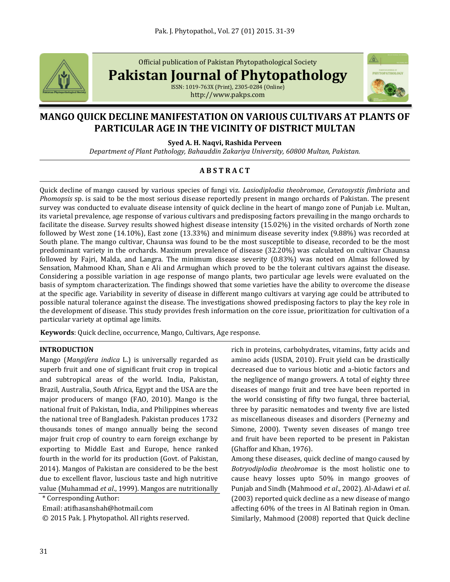

Official publication of Pakistan Phytopathological Society

**Pakistan Journal of Phytopathology**

ISSN: 1019-763X (Print), 2305-0284 (Online) http://www.pakps.com



# **MANGO QUICK DECLINE MANIFESTATION ON VARIOUS CULTIVARS AT PLANTS OF PARTICULAR AGE IN THE VICINITY OF DISTRICT MULTAN**

**Syed A. H. Naqvi, Rashida Perveen**

*Department of Plant Pathology, Bahauddin Zakariya University, 60800 Multan, Pakistan.*

# **A B S T R A C T**

Quick decline of mango caused by various species of fungi viz. *Lasiodiplodia theobromae*, *Ceratosystis fimbriata* and *Phomopsis* sp. is said to be the most serious disease reportedly present in mango orchards of Pakistan. The present survey was conducted to evaluate disease intensity of quick decline in the heart of mango zone of Punjab i.e. Multan, its varietal prevalence, age response of various cultivars and predisposing factors prevailing in the mango orchards to facilitate the disease. Survey results showed highest disease intensity (15.02%) in the visited orchards of North zone followed by West zone (14.10%), East zone (13.33%) and minimum disease severity index (9.88%) was recorded at South plane. The mango cultivar, Chaunsa was found to be the most susceptible to disease, recorded to be the most predominant variety in the orchards. Maximum prevalence of disease (32.20%) was calculated on cultivar Chaunsa followed by Fajri, Malda, and Langra. The minimum disease severity (0.83%) was noted on Almas followed by Sensation, Mahmood Khan, Shan e Ali and Armughan which proved to be the tolerant cultivars against the disease. Considering a possible variation in age response of mango plants, two particular age levels were evaluated on the basis of symptom characterization. The findings showed that some varieties have the ability to overcome the disease at the specific age. Variability in severity of disease in different mango cultivars at varying age could be attributed to possible natural tolerance against the disease. The investigations showed predisposing factors to play the key role in the development of disease. This study provides fresh information on the core issue, prioritization for cultivation of a particular variety at optimal age limits.

**Keywords**: Quick decline, occurrence, Mango, Cultivars, Age response.

# **INTRODUCTION**

Mango (*Mangifera indica* L.) is universally regarded as superb fruit and one of significant fruit crop in tropical and subtropical areas of the world. India, Pakistan, Brazil, Australia, South Africa, Egypt and the USA are the major producers of mango (FAO, 2010). Mango is the national fruit of Pakistan, India, and Philippines whereas the national tree of Bangladesh. Pakistan produces 1732 thousands tones of mango annually being the second major fruit crop of country to earn foreign exchange by exporting to Middle East and Europe, hence ranked fourth in the world for its production (Govt. of Pakistan, 2014). Mangos of Pakistan are considered to be the best due to excellent flavor, luscious taste and high nutritive value (Muhammad *et al*., 1999). Mangos are nutritionally

\* Corresponding Author:

Email: atifhasanshah@hotmail.com

© 2015 Pak. J. Phytopathol. All rights reserved.

rich in proteins, carbohydrates, vitamins, fatty acids and amino acids (USDA, 2010). Fruit yield can be drastically decreased due to various biotic and a-biotic factors and the negligence of mango growers. A total of eighty three diseases of mango fruit and tree have been reported in the world consisting of fifty two fungal, three bacterial, three by parasitic nematodes and twenty five are listed as miscellaneous diseases and disorders (Pernezny and Simone, 2000). Twenty seven diseases of mango tree and fruit have been reported to be present in Pakistan (Ghaffor and Khan, 1976).

Among these diseases, quick decline of mango caused by *Botryodiplodia theobromae* is the most holistic one to cause heavy losses upto 50% in mango grooves of Punjab and Sindh (Mahmood *et al*., 2002). Al-Adawi *et al*. (2003) reported quick decline as a new disease of mango affecting 60% of the trees in Al Batinah region in Oman. Similarly, Mahmood (2008) reported that Quick decline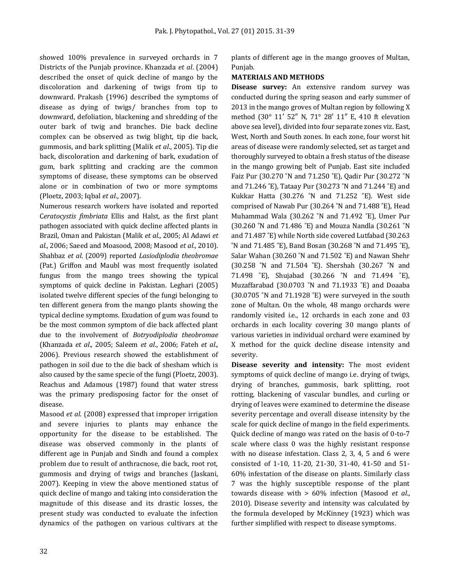showed 100% prevalence in surveyed orchards in 7 Districts of the Punjab province. Khanzada *et al*. (2004) described the onset of quick decline of mango by the discoloration and darkening of twigs from tip to downward. Prakash (1996) described the symptoms of disease as dying of twigs/ branches from top to downward, defoliation, blackening and shredding of the outer bark of twig and branches. Die back decline complex can be observed as twig blight, tip die back, gummosis, and bark splitting (Malik *et al*., 2005). Tip die back, discoloration and darkening of bark, exudation of gum, bark splitting and cracking are the common symptoms of disease, these symptoms can be observed alone or in combination of two or more symptoms (Ploetz, 2003; Iqbal *et al*., 2007).

Numerous research workers have isolated and reported C*eratocystis fimbriata* Ellis and Halst, as the first plant pathogen associated with quick decline affected plants in Brazil, Oman and Pakistan (Malik *et al*., 2005; Al Adawi *et al*., 2006; Saeed and Moasood, 2008; Masood *et al*., 2010). Shahbaz *et al*. (2009) reported *Lasiodiplodia theobromae* (Pat.) Griffon and Maubl was most frequently isolated fungus from the mango trees showing the typical symptoms of quick decline in Pakistan. Leghari (2005) isolated twelve different species of the fungi belonging to ten different genera from the mango plants showing the typical decline symptoms. Exudation of gum was found to be the most common symptom of die back affected plant due to the involvement of *Botryodiplodia theobromae* (Khanzada *et al*., 2005; Saleem *et al*., 2006; Fateh *et al*., 2006). Previous research showed the establishment of pathogen in soil due to the die back of shesham which is also caused by the same specie of the fungi (Ploetz, 2003). Reachus and Adamous (1987) found that water stress was the primary predisposing factor for the onset of disease.

Masood *et al*. (2008) expressed that improper irrigation and severe injuries to plants may enhance the opportunity for the disease to be established. The disease was observed commonly in the plants of different age in Punjab and Sindh and found a complex problem due to result of anthracnose, die back, root rot, gummosis and drying of twigs and branches (Jaskani, 2007). Keeping in view the above mentioned status of quick decline of mango and taking into consideration the magnitude of this disease and its drastic losses, the present study was conducted to evaluate the infection dynamics of the pathogen on various cultivars at the

plants of different age in the mango grooves of Multan, Punjab.

#### **MATERIALS AND METHODS**

**Disease survey:** An extensive random survey was conducted during the spring season and early summer of 2013 in the mango groves of Multan region by following X method (30° 11′ 52″ N, 71° 28′ 11″ E, 410 ft elevation above sea level), divided into four separate zones viz. East, West, North and South zones. In each zone, four worst hit areas of disease were randomly selected, set as target and thoroughly surveyed to obtain a fresh status of the disease in the mango growing belt of Punjab. East site included Faiz Pur (30.270 ˚N and 71.250 ˚E), Qadir Pur (30.272 ˚N and 71.246 ˚E), Tataay Pur (30.273 ˚N and 71.244 ˚E) and Kukkar Hatta (30.276 ˚N and 71.252 ˚E). West side comprised of Nawab Pur (30.264 ˚N and 71.488 ˚E), Head Muhammad Wala (30.262 ˚N and 71.492 ˚E), Umer Pur (30.260 ˚N and 71.486 ˚E) and Mouza Nandla (30.261 ˚N and 71.487 ˚E) while North side covered Lutfabad (30.263 ˚N and 71.485 ˚E), Band Bosan (30.268 ˚N and 71.495 ˚E), Salar Wahan (30.260 ˚N and 71.502 ˚E) and Nawan Shehr (30.258 ˚N and 71.504 ˚E). Shershah (30.267 ˚N and 71.498 ˚E), Shujabad (30.266 ˚N and 71.494 ˚E), Muzaffarabad (30.0703 ˚N and 71.1933 ˚E) and Doaaba (30.0705 ˚N and 71.1928 ˚E) were surveyed in the south zone of Multan. On the whole, 48 mango orchards were randomly visited i.e., 12 orchards in each zone and 03 orchards in each locality covering 30 mango plants of various varieties in individual orchard were examined by X method for the quick decline disease intensity and severity.

**Disease severity and intensity:** The most evident symptoms of quick decline of mango i.e. drying of twigs, drying of branches, gummosis, bark splitting, root rotting, blackening of vascular bundles, and curling or drying of leaves were examined to determine the disease severity percentage and overall disease intensity by the scale for quick decline of mango in the field experiments. Quick decline of mango was rated on the basis of 0-to-7 scale where class 0 was the highly resistant response with no disease infestation. Class 2, 3, 4, 5 and 6 were consisted of 1-10, 11-20, 21-30, 31-40, 41-50 and 51- 60% infestation of the disease on plants. Similarly class 7 was the highly susceptible response of the plant towards disease with > 60% infection (Masood *et al*., 2010). Disease severity and intensity was calculated by the formula developed by McKinney (1923) which was further simplified with respect to disease symptoms.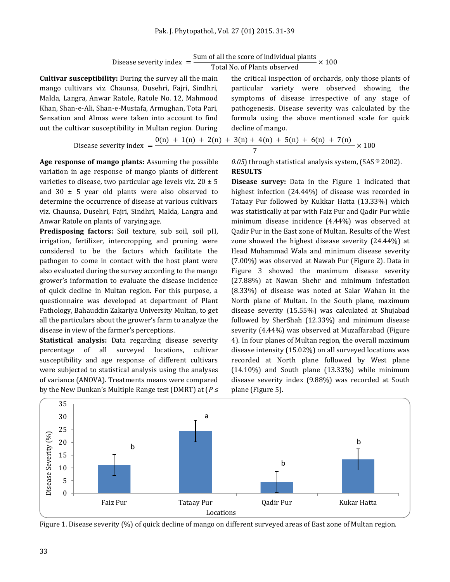| Disease severity index |  | Sum of all the score of individual plants |  | $\times$ 100 |
|------------------------|--|-------------------------------------------|--|--------------|
|                        |  | Total No. of Plants observed              |  |              |

**Cultivar susceptibility:** During the survey all the main mango cultivars viz. Chaunsa, Dusehri, Fajri, Sindhri, Malda, Langra, Anwar Ratole, Ratole No. 12, Mahmood Khan, Shan-e-Ali, Shan-e-Mustafa, Armughan, Tota Pari, Sensation and Almas were taken into account to find out the cultivar susceptibility in Multan region. During the critical inspection of orchards, only those plants of particular variety were observed showing the symptoms of disease irrespective of any stage of pathogenesis. Disease severity was calculated by the formula using the above mentioned scale for quick decline of mango.

$$
\text{Disease severity index} = \frac{0(n) + 1(n) + 2(n) + 3(n) + 4(n) + 5(n) + 6(n) + 7(n)}{7} \times 100
$$

**Age response of mango plants:** Assuming the possible variation in age response of mango plants of different varieties to disease, two particular age levels viz. 20 ± 5 and 30  $\pm$  5 year old plants were also observed to determine the occurrence of disease at various cultivars viz. Chaunsa, Dusehri, Fajri, Sindhri, Malda, Langra and Anwar Ratole on plants of varying age.

**Predisposing factors:** Soil texture, sub soil, soil pH, irrigation, fertilizer, intercropping and pruning were considered to be the factors which facilitate the pathogen to come in contact with the host plant were also evaluated during the survey according to the mango grower's information to evaluate the disease incidence of quick decline in Multan region. For this purpose, a questionnaire was developed at department of Plant Pathology, Bahauddin Zakariya University Multan, to get all the particulars about the grower's farm to analyze the disease in view of the farmer's perceptions.

**Statistical analysis:** Data regarding disease severity percentage of all surveyed locations, cultivar susceptibility and age response of different cultivars were subjected to statistical analysis using the analyses of variance (ANOVA). Treatments means were compared by the New Dunkan's Multiple Range test (DMRT) at (*P ≤*  *0.05*) through statistical analysis system, (SAS ® 2002). **RESULTS**

**Disease survey:** Data in the Figure 1 indicated that highest infection (24.44%) of disease was recorded in Tataay Pur followed by Kukkar Hatta (13.33%) which was statistically at par with Faiz Pur and Qadir Pur while minimum disease incidence (4.44%) was observed at Qadir Pur in the East zone of Multan. Results of the West zone showed the highest disease severity (24.44%) at Head Muhammad Wala and minimum disease severity (7.00%) was observed at Nawab Pur (Figure 2). Data in Figure 3 showed the maximum disease severity (27.88%) at Nawan Shehr and minimum infestation (8.33%) of disease was noted at Salar Wahan in the North plane of Multan. In the South plane, maximum disease severity (15.55%) was calculated at Shujabad followed by SherShah (12.33%) and minimum disease severity (4.44%) was observed at Muzaffarabad (Figure 4). In four planes of Multan region, the overall maximum disease intensity (15.02%) on all surveyed locations was recorded at North plane followed by West plane (14.10%) and South plane (13.33%) while minimum disease severity index (9.88%) was recorded at South plane (Figure 5).



Figure 1. Disease severity (%) of quick decline of mango on different surveyed areas of East zone of Multan region.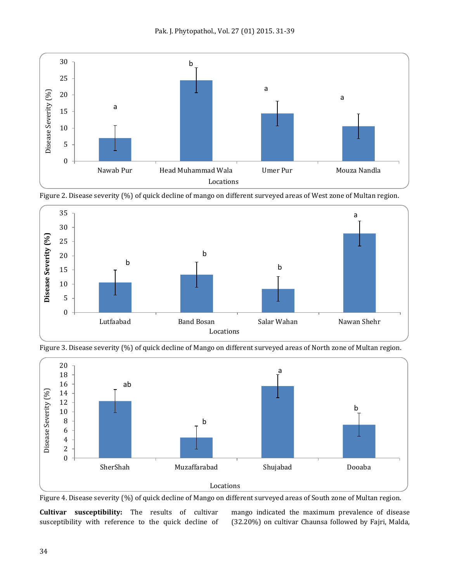







Figure 3. Disease severity (%) of quick decline of Mango on different surveyed areas of North zone of Multan region.

Figure 4. Disease severity (%) of quick decline of Mango on different surveyed areas of South zone of Multan region.

**Cultivar susceptibility:** The results of cultivar susceptibility with reference to the quick decline of mango indicated the maximum prevalence of disease (32.20%) on cultivar Chaunsa followed by Fajri, Malda,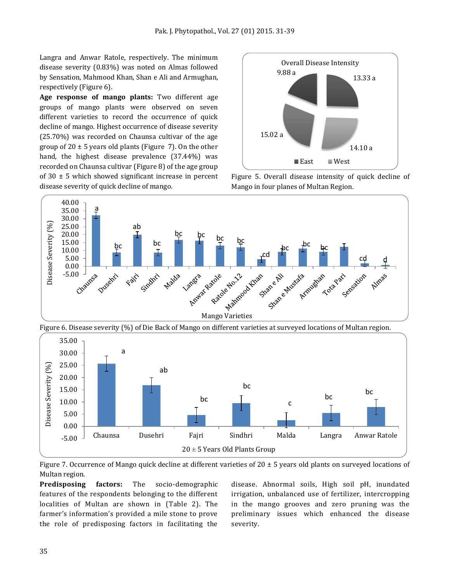Langra and Anwar Ratole, respectively. The minimum disease severity (0.83%) was noted on Almas followed by Sensation, Mahmood Khan, Shan e Ali and Armughan, respectively (Figure 6).

**Age response of mango plants:** Two different age groups of mango plants were observed on seven different varieties to record the occurrence of quick decline of mango. Highest occurrence of disease severity (25.70%) was recorded on Chaunsa cultivar of the age group of  $20 \pm 5$  years old plants (Figure 7). On the other hand, the highest disease prevalence (37.44%) was recorded on Chaunsa cultivar (Figure 8) of the age group of  $30 \pm 5$  which showed significant increase in percent disease severity of quick decline of mango.



Figure 5. Overall disease intensity of quick decline of Mango in four planes of Multan Region.



Figure 6. Disease severity (%) of Die Back of Mango on different varieties at surveyed locations of Multan region.



Figure 7. Occurrence of Mango quick decline at different varieties of 20  $\pm$  5 years old plants on surveyed locations of Multan region.

**Predisposing factors:** The socio-demographic features of the respondents belonging to the different localities of Multan are shown in (Table 2). The farmer's information's provided a mile stone to prove the role of predisposing factors in facilitating the disease. Abnormal soils, High soil pH, inundated irrigation, unbalanced use of fertilizer, intercropping in the mango grooves and zero pruning was the preliminary issues which enhanced the disease severity.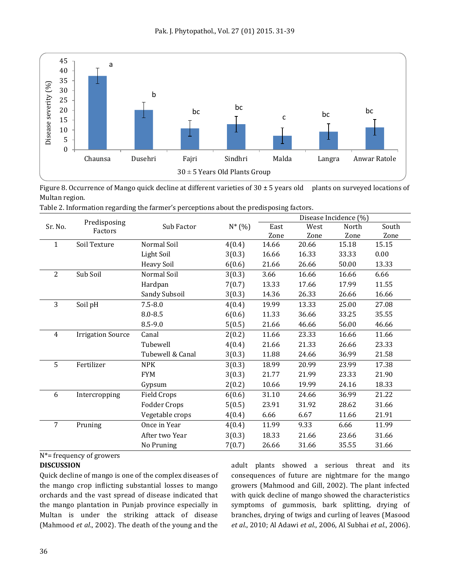

Figure 8. Occurrence of Mango quick decline at different varieties of  $30 \pm 5$  years old plants on surveyed locations of Multan region.

|  | Table 2. Information regarding the farmer's perceptions about the predisposing factors. |  |  |
|--|-----------------------------------------------------------------------------------------|--|--|
|  |                                                                                         |  |  |

|                                    |                          |                     |        | Disease Incidence (%) |       |       |       |  |
|------------------------------------|--------------------------|---------------------|--------|-----------------------|-------|-------|-------|--|
| Predisposing<br>Sr. No.<br>Factors | Sub Factor               | $N^*(% )$           | East   | West                  | North | South |       |  |
|                                    |                          |                     |        | Zone                  | Zone  | Zone  | Zone  |  |
| 1                                  | Soil Texture             | Normal Soil         | 4(0.4) | 14.66                 | 20.66 | 15.18 | 15.15 |  |
|                                    |                          | Light Soil          | 3(0.3) | 16.66                 | 16.33 | 33.33 | 0.00  |  |
|                                    |                          | <b>Heavy Soil</b>   | 6(0.6) | 21.66                 | 26.66 | 50.00 | 13.33 |  |
| $\overline{2}$                     | Sub Soil                 | Normal Soil         | 3(0.3) | 3.66                  | 16.66 | 16.66 | 6.66  |  |
|                                    |                          | Hardpan             | 7(0.7) | 13.33                 | 17.66 | 17.99 | 11.55 |  |
|                                    |                          | Sandy Subsoil       | 3(0.3) | 14.36                 | 26.33 | 26.66 | 16.66 |  |
| 3                                  | Soil pH                  | $7.5 - 8.0$         | 4(0.4) | 19.99                 | 13.33 | 25.00 | 27.08 |  |
|                                    |                          | $8.0 - 8.5$         | 6(0.6) | 11.33                 | 36.66 | 33.25 | 35.55 |  |
|                                    |                          | 8.5-9.0             | 5(0.5) | 21.66                 | 46.66 | 56.00 | 46.66 |  |
| $\overline{4}$                     | <b>Irrigation Source</b> | Canal               | 2(0.2) | 11.66                 | 23.33 | 16.66 | 11.66 |  |
|                                    |                          | Tubewell            | 4(0.4) | 21.66                 | 21.33 | 26.66 | 23.33 |  |
|                                    |                          | Tubewell & Canal    | 3(0.3) | 11.88                 | 24.66 | 36.99 | 21.58 |  |
| 5                                  | Fertilizer               | <b>NPK</b>          | 3(0.3) | 18.99                 | 20.99 | 23.99 | 17.38 |  |
|                                    |                          | <b>FYM</b>          | 3(0.3) | 21.77                 | 21.99 | 23.33 | 21.90 |  |
|                                    |                          | Gypsum              | 2(0.2) | 10.66                 | 19.99 | 24.16 | 18.33 |  |
| 6                                  | Intercropping            | <b>Field Crops</b>  | 6(0.6) | 31.10                 | 24.66 | 36.99 | 21.22 |  |
|                                    |                          | <b>Fodder Crops</b> | 5(0.5) | 23.91                 | 31.92 | 28.62 | 31.66 |  |
|                                    |                          | Vegetable crops     | 4(0.4) | 6.66                  | 6.67  | 11.66 | 21.91 |  |
| 7                                  | Pruning                  | Once in Year        | 4(0.4) | 11.99                 | 9.33  | 6.66  | 11.99 |  |
|                                    |                          | After two Year      | 3(0.3) | 18.33                 | 21.66 | 23.66 | 31.66 |  |
|                                    |                          | No Pruning          | 7(0.7) | 26.66                 | 31.66 | 35.55 | 31.66 |  |

N\*= frequency of growers

#### **DISCUSSION**

Quick decline of mango is one of the complex diseases of the mango crop inflicting substantial losses to mango orchards and the vast spread of disease indicated that the mango plantation in Punjab province especially in Multan is under the striking attack of disease (Mahmood *et al*., 2002). The death of the young and the

adult plants showed a serious threat and its consequences of future are nightmare for the mango growers (Mahmood and Gill, 2002). The plant infected with quick decline of mango showed the characteristics symptoms of gummosis, bark splitting, drying of branches, drying of twigs and curling of leaves (Masood *et al*., 2010; Al Adawi *et al*., 2006, Al Subhai *et al*., 2006).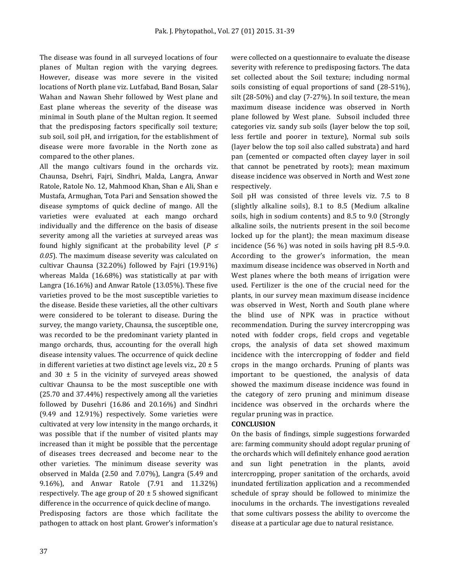The disease was found in all surveyed locations of four planes of Multan region with the varying degrees. However, disease was more severe in the visited locations of North plane viz. Lutfabad, Band Bosan, Salar Wahan and Nawan Shehr followed by West plane and East plane whereas the severity of the disease was minimal in South plane of the Multan region. It seemed that the predisposing factors specifically soil texture; sub soil, soil pH, and irrigation, for the establishment of disease were more favorable in the North zone as compared to the other planes.

All the mango cultivars found in the orchards viz. Chaunsa, Dsehri, Fajri, Sindhri, Malda, Langra, Anwar Ratole, Ratole No. 12, Mahmood Khan, Shan e Ali, Shan e Mustafa, Armughan, Tota Pari and Sensation showed the disease symptoms of quick decline of mango. All the varieties were evaluated at each mango orchard individually and the difference on the basis of disease severity among all the varieties at surveyed areas was found highly significant at the probability level (*P ≤ 0.05*). The maximum disease severity was calculated on cultivar Chaunsa (32.20%) followed by Fajri (19.91%) whereas Malda (16.68%) was statistically at par with Langra (16.16%) and Anwar Ratole (13.05%). These five varieties proved to be the most susceptible varieties to the disease. Beside these varieties, all the other cultivars were considered to be tolerant to disease. During the survey, the mango variety, Chaunsa, the susceptible one, was recorded to be the predominant variety planted in mango orchards, thus, accounting for the overall high disease intensity values. The occurrence of quick decline in different varieties at two distinct age levels viz.,  $20 \pm 5$ and  $30 \pm 5$  in the vicinity of surveyed areas showed cultivar Chaunsa to be the most susceptible one with (25.70 and 37.44%) respectively among all the varieties followed by Dusehri (16.86 and 20.16%) and Sindhri (9.49 and 12.91%) respectively. Some varieties were cultivated at very low intensity in the mango orchards, it was possible that if the number of visited plants may increased than it might be possible that the percentage of diseases trees decreased and become near to the other varieties. The minimum disease severity was observed in Malda (2.50 and 7.07%), Langra (5.49 and 9.16%), and Anwar Ratole (7.91 and 11.32%) respectively. The age group of  $20 \pm 5$  showed significant difference in the occurrence of quick decline of mango.

Predisposing factors are those which facilitate the pathogen to attack on host plant. Grower's information's were collected on a questionnaire to evaluate the disease severity with reference to predisposing factors. The data set collected about the Soil texture; including normal soils consisting of equal proportions of sand (28-51%), silt (28-50%) and clay (7-27%). In soil texture, the mean maximum disease incidence was observed in North plane followed by West plane. Subsoil included three categories viz. sandy sub soils (layer below the top soil, less fertile and poorer in texture), Normal sub soils (layer below the top soil also called substrata) and hard pan (cemented or compacted often clayey layer in soil that cannot be penetrated by roots); mean maximum disease incidence was observed in North and West zone respectively.

Soil pH was consisted of three levels viz. 7.5 to 8 (slightly alkaline soils), 8.1 to 8.5 (Medium alkaline soils, high in sodium contents) and 8.5 to 9.0 (Strongly alkaline soils, the nutrients present in the soil become locked up for the plant); the mean maximum disease incidence (56 %) was noted in soils having pH 8.5-9.0. According to the grower's information, the mean maximum disease incidence was observed in North and West planes where the both means of irrigation were used. Fertilizer is the one of the crucial need for the plants, in our survey mean maximum disease incidence was observed in West, North and South plane where the blind use of NPK was in practice without recommendation. During the survey intercropping was noted with fodder crops, field crops and vegetable crops, the analysis of data set showed maximum incidence with the intercropping of fodder and field crops in the mango orchards. Pruning of plants was important to be questioned, the analysis of data showed the maximum disease incidence was found in the category of zero pruning and minimum disease incidence was observed in the orchards where the regular pruning was in practice.

# **CONCLUSION**

On the basis of findings, simple suggestions forwarded are: farming community should adopt regular pruning of the orchards which will definitely enhance good aeration and sun light penetration in the plants, avoid intercropping, proper sanitation of the orchards, avoid inundated fertilization application and a recommended schedule of spray should be followed to minimize the inoculums in the orchards. The investigations revealed that some cultivars possess the ability to overcome the disease at a particular age due to natural resistance.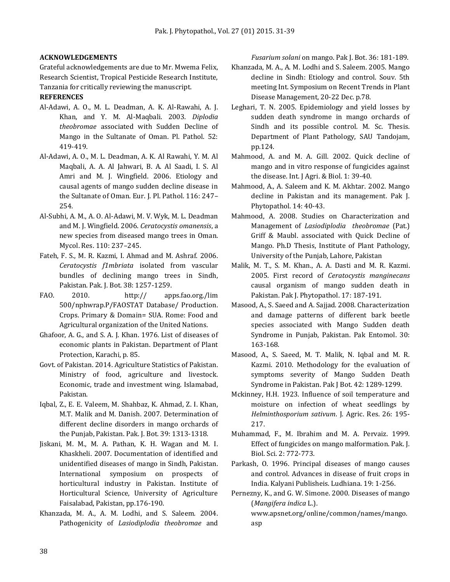#### **ACKNOWLEDGEMENTS**

Grateful acknowledgements are due to Mr. Mwema Felix, Research Scientist, Tropical Pesticide Research Institute, Tanzania for critically reviewing the manuscript.

# **REFERENCES**

- Al-Adawi, A. O., M. L. Deadman, A. K. Al-Rawahi, A. J. Khan, and Y. M. Al-Maqbali. 2003. *Diplodia theobromae* associated with Sudden Decline of Mango in the Sultanate of Oman. Pl. Pathol. 52: 419-419.
- Al-Adawi, A. O., M. L. Deadman, A. K. Al Rawahi, Y. M. Al Maqbali, A. A. Al Jahwari, B. A. Al Saadi, I. S. Al Amri and M. J. Wingfield. 2006. Etiology and causal agents of mango sudden decline disease in the Sultanate of Oman. Eur. J. Pl. Pathol. 116: 247– 254.
- Al-Subhi, A. M., A. O. Al-Adawi, M. V. Wyk, M. L. Deadman and M. J. Wingfield. 2006. *Ceratocystis omanensis*, a new species from diseased mango trees in Oman. Mycol. Res. 110: 237–245.
- Fateh, F. S., M. R. Kazmi, I. Ahmad and M. Ashraf. 2006. *Ceratocystis f1mbriata* isolated from vascular bundles of declining mango trees in Sindh, Pakistan. Pak. J. Bot. 38: 1257-1259.
- FAO. 2010. http:// apps.fao.org./lim 500/nphwrap.P/FAOSTAT Database/ Production. Crops. Primary & Domain= SUA. Rome: Food and Agricultural organization of the United Nations.
- Ghafoor, A. G., and S. A. J. Khan. 1976. List of diseases of economic plants in Pakistan. Department of Plant Protection, Karachi, p. 85.
- Govt. of Pakistan. 2014. Agriculture Statistics of Pakistan. Ministry of food, agriculture and livestock. Economic, trade and investment wing. Islamabad, Pakistan.
- Iqbal, Z., E. E. Valeem, M. Shahbaz, K. Ahmad, Z. I. Khan, M.T. Malik and M. Danish. 2007. Determination of different decline disorders in mango orchards of the Punjab, Pakistan. Pak. J. Bot. 39: 1313-1318.
- Jiskani, M. M., M. A. Pathan, K. H. Wagan and M. I. Khaskheli. 2007. Documentation of identified and unidentified diseases of mango in Sindh, Pakistan. International symposium on prospects of horticultural industry in Pakistan. Institute of Horticultural Science, University of Agriculture Faisalabad, Pakistan, pp.176-190.
- Khanzada, M. A., A. M. Lodhi, and S. Saleem. 2004. Pathogenicity of *Lasiodiplodia theobromae* and

*Fusarium solani* on mango. Pak J. Bot. 36: 181-189.

- Khanzada, M. A., A. M. Lodhi and S. Saleem. 2005. Mango decline in Sindh: Etiology and control. Souv. 5th meeting Int. Symposium on Recent Trends in Plant Disease Management, 20-22 Dec. p.78.
- Leghari, T. N. 2005. Epidemiology and yield losses by sudden death syndrome in mango orchards of Sindh and its possible control. M. Sc. Thesis. Department of Plant Pathology, SAU Tandojam, pp.124.
- Mahmood, A. and M. A. Gill. 2002. Quick decline of mango and in vitro response of fungicides against the disease. Int. J Agri. & Biol. 1: 39-40.
- Mahmood, A., A. Saleem and K. M. Akhtar. 2002. Mango decline in Pakistan and its management. Pak J. Phytopathol. 14: 40-43.
- Mahmood, A. 2008. Studies on Characterization and Management of *Lasiodiplodia theobromae* (Pat.) Griff & Maubl. associated with Quick Decline of Mango. Ph.D Thesis, Institute of Plant Pathology, University of the Punjab, Lahore, Pakistan
- Malik, M. T., S. M. Khan., A. A. Dasti and M. R. Kazmi. 2005. First record of *Ceratocystis manginecans* causal organism of mango sudden death in Pakistan. Pak J. Phytopathol. 17: 187-191.
- Masood, A., S. Saeed and A. Sajjad. 2008. Characterization and damage patterns of different bark beetle species associated with Mango Sudden death Syndrome in Punjab, Pakistan. Pak Entomol. 30: 163-168.
- Masood, A., S. Saeed, M. T. Malik, N. Iqbal and M. R. Kazmi. 2010. Methodology for the evaluation of symptoms severity of Mango Sudden Death Syndrome in Pakistan. Pak J Bot. 42: 1289-1299.
- Mckinney, H.H. 1923. Influence of soil temperature and moisture on infection of wheat seedlings by *Helminthosporium sativum*. J. Agric. Res. 26: 195- 217.
- Muhammad, F., M. Ibrahim and M. A. Pervaiz. 1999. Effect of fungicides on mango malformation. Pak. J. Biol. Sci. 2: 772-773.
- Parkash, O. 1996. Principal diseases of mango causes and control. Advances in disease of fruit crops in India. Kalyani Publisheis. Ludhiana. 19: 1-256.
- Pernezny, K., and G. W. Simone. 2000. Diseases of mango (*Mangifera indica* L.). www.apsnet.org/online/common/names/mango. asp